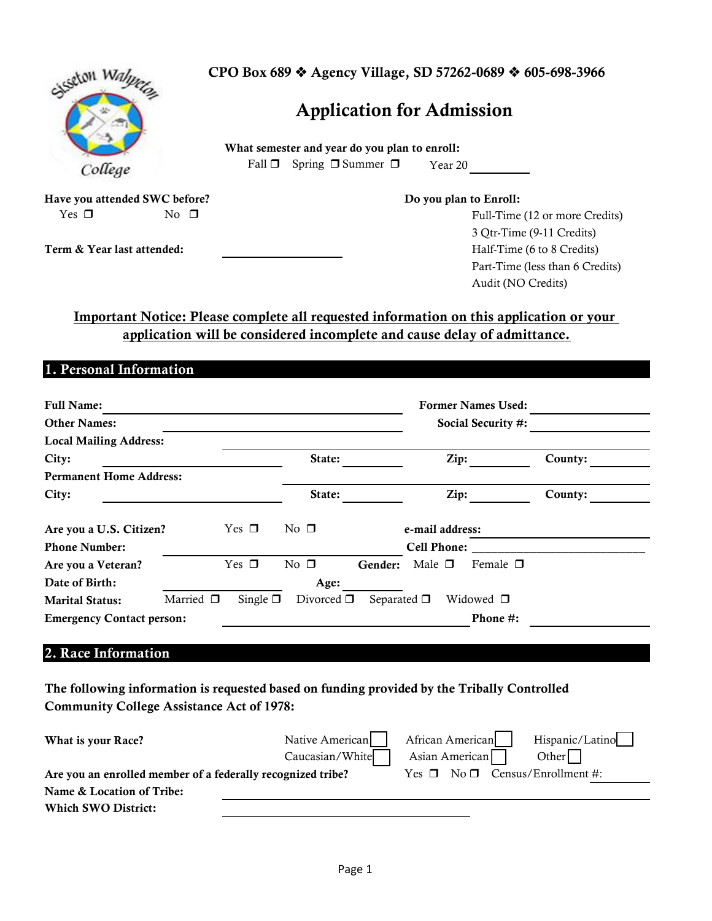| System Wa.                    |           | CPO Box 689 ♦ Agency Village, SD 57262-0689 ♦ 605-698-3966 |                                               |                        |                                 |  |  |
|-------------------------------|-----------|------------------------------------------------------------|-----------------------------------------------|------------------------|---------------------------------|--|--|
|                               |           | <b>Application for Admission</b>                           |                                               |                        |                                 |  |  |
|                               |           |                                                            | What semester and year do you plan to enroll: |                        |                                 |  |  |
| College                       |           | Fall $\Box$                                                | Spring $\Box$ Summer $\Box$                   | Year 20                |                                 |  |  |
| Have you attended SWC before? |           |                                                            |                                               | Do you plan to Enroll: |                                 |  |  |
| Yes $\Box$                    | No $\Box$ |                                                            |                                               |                        | Full-Time (12 or more Credits)  |  |  |
|                               |           |                                                            |                                               |                        | 3 Otr-Time (9-11 Credits)       |  |  |
| Term & Year last attended:    |           |                                                            |                                               |                        | Half-Time (6 to 8 Credits)      |  |  |
|                               |           |                                                            |                                               |                        | Part-Time (less than 6 Credits) |  |  |
|                               |           |                                                            |                                               |                        | Audit (NO Credits)              |  |  |

# **application will be considered incomplete and cause delay of admittance. Important Notice: Please complete all requested information on this application or your**

## **1. Personal Information**

| <b>Full Name:</b>                        |               |                 |                    | <b>Former Names Used:</b>       |         |  |
|------------------------------------------|---------------|-----------------|--------------------|---------------------------------|---------|--|
| <b>Other Names:</b>                      |               |                 | Social Security #: |                                 |         |  |
| <b>Local Mailing Address:</b>            |               |                 |                    |                                 |         |  |
| City:                                    | State:        |                 | Zip:               | County:                         |         |  |
| <b>Permanent Home Address:</b>           |               |                 |                    |                                 |         |  |
| City:                                    |               | State:          |                    | Zip:                            | County: |  |
| Are you a U.S. Citizen?                  | Yes $\Box$    | No $\Box$       |                    | e-mail address:                 |         |  |
| <b>Phone Number:</b>                     |               |                 |                    | <b>Cell Phone:</b>              |         |  |
| Are you a Veteran?                       | Yes $\Box$    | No $\square$    | Gender:            | Male $\square$<br>Female $\Box$ |         |  |
| Date of Birth:                           |               | Age:            |                    |                                 |         |  |
| Married $\Box$<br><b>Marital Status:</b> | Single $\Box$ | Divorced $\Box$ | Separated $\Box$   | Widowed $\Box$                  |         |  |
| <b>Emergency Contact person:</b>         |               |                 |                    | Phone #:                        |         |  |

## **2. Race Information**

**The following information is requested based on funding provided by the Tribally Controlled Community College Assistance Act of 1978:**

| What is your Race?                                          | Native American | African American<br>Hispanic/Latino       |
|-------------------------------------------------------------|-----------------|-------------------------------------------|
|                                                             | Caucasian/White | Asian American<br>Other                   |
| Are you an enrolled member of a federally recognized tribe? |                 | Yes $\Box$ No $\Box$ Census/Enrollment #: |
| Name & Location of Tribe:                                   |                 |                                           |
| <b>Which SWO District:</b>                                  |                 |                                           |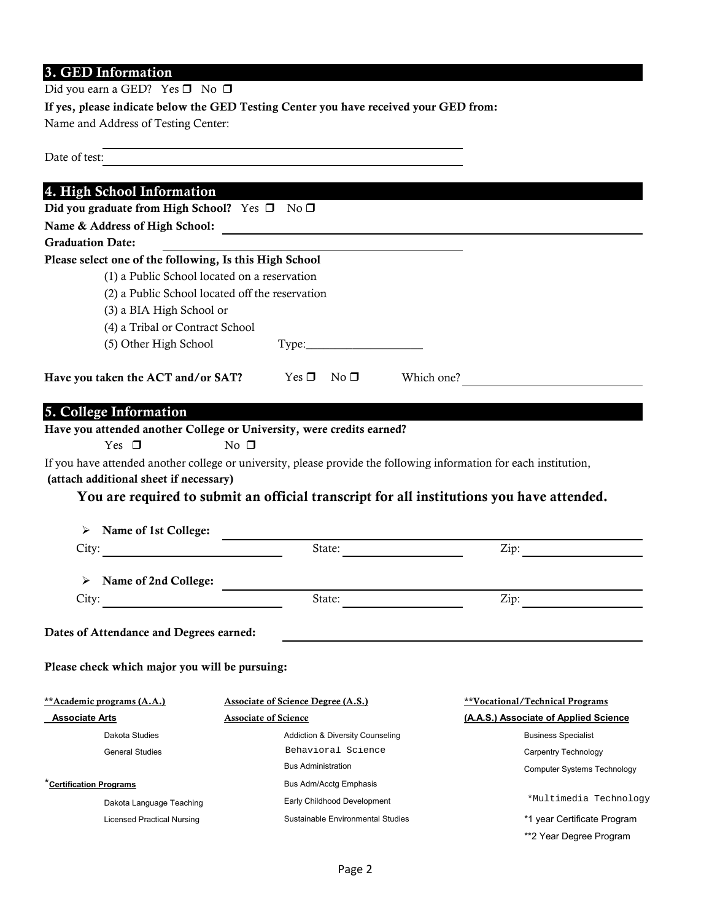# **3. GED Information**

Did you earn a GED? Yes  $\Box$  No  $\Box$ 

**If yes, please indicate below the GED Testing Center you have received your GED from:**

Name and Address of Testing Center:

| Date of test:                                                                                                      |           |                                                                                           |            |                                       |
|--------------------------------------------------------------------------------------------------------------------|-----------|-------------------------------------------------------------------------------------------|------------|---------------------------------------|
| 4. High School Information                                                                                         |           |                                                                                           |            |                                       |
| Did you graduate from High School? Yes □ No □                                                                      |           |                                                                                           |            |                                       |
|                                                                                                                    |           |                                                                                           |            |                                       |
| <b>Graduation Date:</b>                                                                                            |           |                                                                                           |            |                                       |
| Please select one of the following, Is this High School                                                            |           |                                                                                           |            |                                       |
| (1) a Public School located on a reservation                                                                       |           |                                                                                           |            |                                       |
| (2) a Public School located off the reservation                                                                    |           |                                                                                           |            |                                       |
| (3) a BIA High School or                                                                                           |           |                                                                                           |            |                                       |
| (4) a Tribal or Contract School                                                                                    |           |                                                                                           |            |                                       |
| (5) Other High School                                                                                              |           |                                                                                           |            |                                       |
| Have you taken the ACT and/or SAT? Yes $\Box$ No $\Box$                                                            |           |                                                                                           | Which one? |                                       |
|                                                                                                                    |           |                                                                                           |            |                                       |
| 5. College Information                                                                                             |           |                                                                                           |            |                                       |
| Have you attended another College or University, were credits earned?<br>Yes $\Box$                                | No $\Box$ |                                                                                           |            |                                       |
| If you have attended another college or university, please provide the following information for each institution, |           |                                                                                           |            |                                       |
| (attach additional sheet if necessary)                                                                             |           |                                                                                           |            |                                       |
|                                                                                                                    |           | You are required to submit an official transcript for all institutions you have attended. |            |                                       |
|                                                                                                                    |           |                                                                                           |            |                                       |
| $\triangleright$ Name of 1st College:                                                                              |           |                                                                                           |            |                                       |
|                                                                                                                    |           | State:                                                                                    |            | $\mathsf{Zip:}\qquad \qquad$          |
|                                                                                                                    |           |                                                                                           |            |                                       |
| > Name of 2nd College:                                                                                             |           |                                                                                           |            |                                       |
| City:                                                                                                              |           | State:                                                                                    |            | Zip: $\qquad \qquad$                  |
|                                                                                                                    |           |                                                                                           |            |                                       |
| Dates of Attendance and Degrees earned:                                                                            |           |                                                                                           |            |                                       |
| Please check which major you will be pursuing:                                                                     |           |                                                                                           |            |                                       |
|                                                                                                                    |           |                                                                                           |            |                                       |
| **Academic programs (A.A.)                                                                                         |           | <b>Associate of Science Degree (A.S.)</b>                                                 |            | **Vocational/Technical Programs       |
| <b>Associate Arts</b>                                                                                              |           | <b>Associate of Science</b>                                                               |            | (A.A.S.) Associate of Applied Science |
| Dakota Studies                                                                                                     |           | <b>Addiction &amp; Diversity Counseling</b>                                               |            | <b>Business Specialist</b>            |
| <b>General Studies</b>                                                                                             |           | Behavioral Science                                                                        |            | Carpentry Technology                  |
|                                                                                                                    |           | <b>Bus Administration</b>                                                                 |            | Computer Systems Technology           |
| *Certification Programs                                                                                            |           | Bus Adm/Acctg Emphasis                                                                    |            |                                       |
| Dakota Language Teaching                                                                                           |           | Early Childhood Development                                                               |            | *Multimedia Technology                |
| <b>Licensed Practical Nursing</b>                                                                                  |           | Sustainable Environmental Studies                                                         |            | *1 year Certificate Program           |
|                                                                                                                    |           |                                                                                           |            | **2 Year Degree Program               |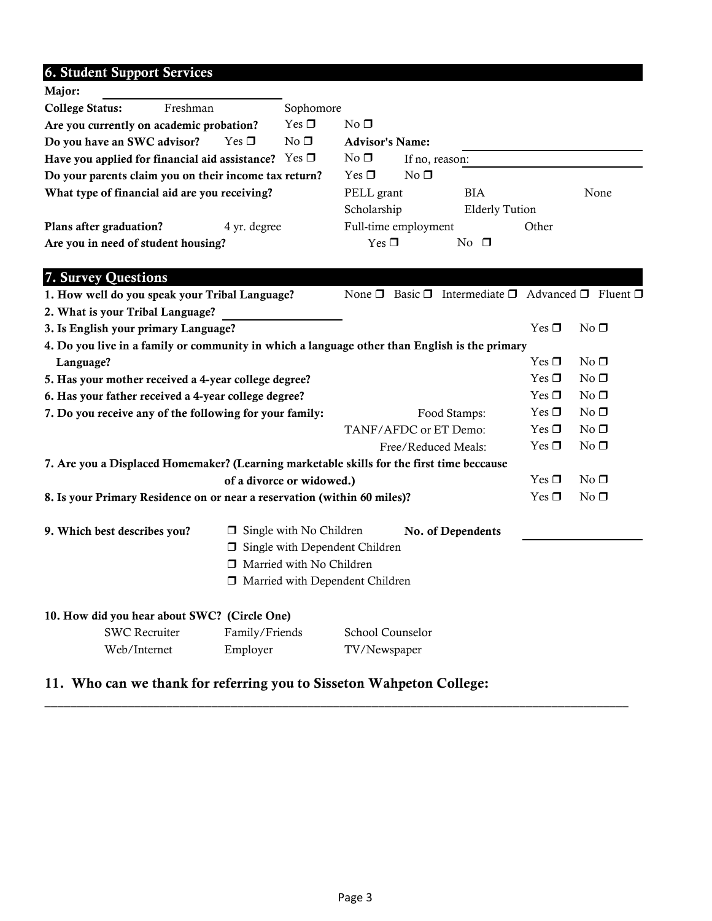# **6. Student Support Services**

| Major:                                                                                        |                                                                                                                                          |                           |                 |                                                                            |                 |                 |
|-----------------------------------------------------------------------------------------------|------------------------------------------------------------------------------------------------------------------------------------------|---------------------------|-----------------|----------------------------------------------------------------------------|-----------------|-----------------|
| <b>College Status:</b><br>Freshman                                                            | Sophomore                                                                                                                                |                           |                 |                                                                            |                 |                 |
| Are you currently on academic probation?                                                      | Yes $\Box$                                                                                                                               | No <sub>1</sub>           |                 |                                                                            |                 |                 |
| Do you have an SWC advisor?<br>$Yes \Box$                                                     | No <sub>1</sub>                                                                                                                          | <b>Advisor's Name:</b>    |                 |                                                                            |                 |                 |
| Have you applied for financial aid assistance? Yes $\Box$                                     |                                                                                                                                          | $No \Box$                 | If no, reason:  |                                                                            |                 |                 |
| Do your parents claim you on their income tax return?                                         |                                                                                                                                          | $Yes \Box$                | No <sub>1</sub> |                                                                            |                 |                 |
| What type of financial aid are you receiving?                                                 |                                                                                                                                          | PELL grant<br>Scholarship |                 | <b>BIA</b>                                                                 |                 | None            |
|                                                                                               |                                                                                                                                          |                           |                 | <b>Elderly Tution</b>                                                      |                 |                 |
| Plans after graduation?<br>4 yr. degree                                                       |                                                                                                                                          | Full-time employment      |                 |                                                                            | Other           |                 |
| Are you in need of student housing?                                                           |                                                                                                                                          | $Yes \Box$                |                 | No $\square$                                                               |                 |                 |
|                                                                                               |                                                                                                                                          |                           |                 |                                                                            |                 |                 |
| 7. Survey Questions                                                                           |                                                                                                                                          |                           |                 |                                                                            |                 |                 |
| 1. How well do you speak your Tribal Language?                                                |                                                                                                                                          |                           |                 | None $\Box$ Basic $\Box$ Intermediate $\Box$ Advanced $\Box$ Fluent $\Box$ |                 |                 |
| 2. What is your Tribal Language?                                                              |                                                                                                                                          |                           |                 |                                                                            |                 |                 |
| 3. Is English your primary Language?                                                          |                                                                                                                                          |                           |                 |                                                                            | $Yes \Box$      | No <sub>1</sub> |
| 4. Do you live in a family or community in which a language other than English is the primary |                                                                                                                                          |                           |                 |                                                                            |                 |                 |
| Language?                                                                                     |                                                                                                                                          |                           |                 |                                                                            | Yes $\square$   | No <sub>1</sub> |
| 5. Has your mother received a 4-year college degree?                                          |                                                                                                                                          |                           |                 |                                                                            | Yes $\square$   | No <sub>1</sub> |
| 6. Has your father received a 4-year college degree?                                          |                                                                                                                                          |                           |                 |                                                                            | Yes $\Box$      | No <sub>1</sub> |
| 7. Do you receive any of the following for your family:                                       |                                                                                                                                          | Food Stamps:              |                 |                                                                            | Yes $\Box$      | No <sub>1</sub> |
|                                                                                               |                                                                                                                                          | TANF/AFDC or ET Demo:     |                 |                                                                            | Yes $\Box$      | No <sub>1</sub> |
| Free/Reduced Meals:                                                                           |                                                                                                                                          |                           |                 | Yes $\Box$                                                                 | No <sub>1</sub> |                 |
| 7. Are you a Displaced Homemaker? (Learning marketable skills for the first time beccause     |                                                                                                                                          |                           |                 |                                                                            |                 |                 |
|                                                                                               | of a divorce or widowed.)                                                                                                                |                           |                 |                                                                            | Yes $\Box$      | No <sub>1</sub> |
| 8. Is your Primary Residence on or near a reservation (within 60 miles)?                      |                                                                                                                                          |                           |                 |                                                                            | Yes $\Box$      | No <sub>1</sub> |
| 9. Which best describes you?                                                                  | $\Box$ Single with No Children<br>$\Box$ Single with Dependent Children<br>Married with No Children<br>□ Married with Dependent Children |                           |                 | No. of Dependents                                                          |                 |                 |
| 10. How did you hear about SWC? (Circle One)                                                  |                                                                                                                                          |                           |                 |                                                                            |                 |                 |
| <b>SWC Recruiter</b><br>Family/Friends                                                        |                                                                                                                                          | School Counselor          |                 |                                                                            |                 |                 |
| Web/Internet<br>Employer                                                                      |                                                                                                                                          | TV/Newspaper              |                 |                                                                            |                 |                 |

# **11. Who can we thank for referring you to Sisseton Wahpeton College:**

\_\_\_\_\_\_\_\_\_\_\_\_\_\_\_\_\_\_\_\_\_\_\_\_\_\_\_\_\_\_\_\_\_\_\_\_\_\_\_\_\_\_\_\_\_\_\_\_\_\_\_\_\_\_\_\_\_\_\_\_\_\_\_\_\_\_\_\_\_\_\_\_\_\_\_\_\_\_\_\_\_\_\_\_\_\_\_\_\_\_\_